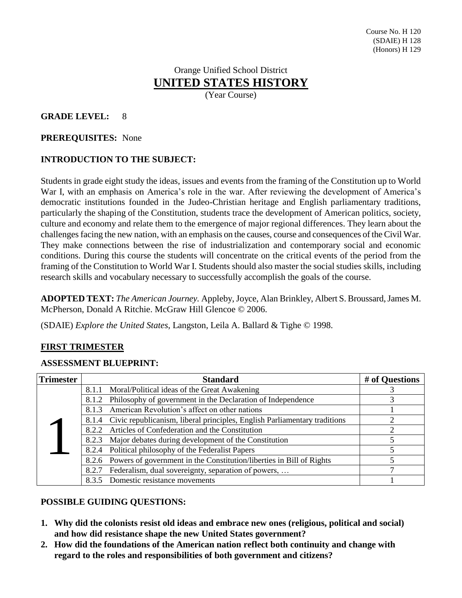# Orange Unified School District **UNITED STATES HISTORY**

(Year Course)

# **GRADE LEVEL:** 8

#### **PREREQUISITES:** None

# **INTRODUCTION TO THE SUBJECT:**

Students in grade eight study the ideas, issues and events from the framing of the Constitution up to World War I, with an emphasis on America's role in the war. After reviewing the development of America's democratic institutions founded in the Judeo-Christian heritage and English parliamentary traditions, particularly the shaping of the Constitution, students trace the development of American politics, society, culture and economy and relate them to the emergence of major regional differences. They learn about the challenges facing the new nation, with an emphasis on the causes, course and consequences of the Civil War. They make connections between the rise of industrialization and contemporary social and economic conditions. During this course the students will concentrate on the critical events of the period from the framing of the Constitution to World War I. Students should also master the social studies skills, including research skills and vocabulary necessary to successfully accomplish the goals of the course.

**ADOPTED TEXT:** *The American Journey.* Appleby, Joyce, Alan Brinkley, Albert S. Broussard, James M. McPherson, Donald A Ritchie. McGraw Hill Glencoe © 2006.

(SDAIE) *Explore the United States*, Langston, Leila A. Ballard & Tighe © 1998.

## **FIRST TRIMESTER**

## **ASSESSMENT BLUEPRINT:**

| <b>Trimester</b> | <b>Standard</b>                                                                 | # of Questions |
|------------------|---------------------------------------------------------------------------------|----------------|
|                  | 8.1.1 Moral/Political ideas of the Great Awakening                              |                |
|                  | Philosophy of government in the Declaration of Independence<br>8.1.2            |                |
|                  | American Revolution's affect on other nations<br>8.1.3                          |                |
|                  | 8.1.4 Civic republicanism, liberal principles, English Parliamentary traditions |                |
|                  | Articles of Confederation and the Constitution<br>8.2.2                         |                |
|                  | 8.2.3 Major debates during development of the Constitution                      |                |
|                  | 8.2.4 Political philosophy of the Federalist Papers                             |                |
|                  | 8.2.6 Powers of government in the Constitution/liberties in Bill of Rights      |                |
|                  | Federalism, dual sovereignty, separation of powers,<br>8.2.7                    |                |
|                  | 8.3.5 Domestic resistance movements                                             |                |

## **POSSIBLE GUIDING QUESTIONS:**

- **1. Why did the colonists resist old ideas and embrace new ones (religious, political and social) and how did resistance shape the new United States government?**
- **2. How did the foundations of the American nation reflect both continuity and change with regard to the roles and responsibilities of both government and citizens?**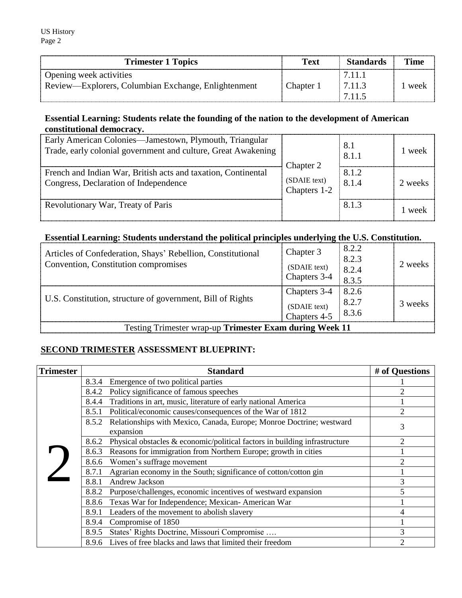| <b>Trimester 1 Topics</b>                           | <b>Text</b> | <b>Standards</b> | Time |
|-----------------------------------------------------|-------------|------------------|------|
| Opening week activities                             |             | 7.11.            |      |
| Review—Explorers, Columbian Exchange, Enlightenment | Chanter (   | $-7.11.3$        | week |
|                                                     |             | 7 1 1 5          |      |

## **Essential Learning: Students relate the founding of the nation to the development of American constitutional democracy.**

| Early American Colonies-Jamestown, Plymouth, Triangular<br>Trade, early colonial government and culture, Great Awakening | Chapter 2                    | 8.1<br>8.1.1   | 1 week  |
|--------------------------------------------------------------------------------------------------------------------------|------------------------------|----------------|---------|
| French and Indian War, British acts and taxation, Continental<br>Congress, Declaration of Independence                   | (SDAIE text)<br>Chapters 1-2 | 8.1.2<br>8.1.4 | 2 weeks |
| Revolutionary War, Treaty of Paris                                                                                       |                              | 8.1.3          | 1 week  |

# **Essential Learning: Students understand the political principles underlying the U.S. Constitution.**

| Articles of Confederation, Shays' Rebellion, Constitutional<br>Convention, Constitution compromises | Chapter 3<br>(SDAIE text)<br>Chapters 3-4    | 8.2.2<br>8.2.3<br>$8.2.4$<br>$8.3.5$                    | 2 weeks |
|-----------------------------------------------------------------------------------------------------|----------------------------------------------|---------------------------------------------------------|---------|
| U.S. Constitution, structure of government, Bill of Rights                                          | Chapters 3-4<br>(SDAIE text)<br>Chapters 4-5 | 8.2.6<br>$\begin{array}{ l} 8.2.7 \\ 8.3.6 \end{array}$ | 3 weeks |
| Testing Trimester wrap-up Trimester Exam during Week 11                                             |                                              |                                                         |         |

# **SECOND TRIMESTER ASSESSMENT BLUEPRINT:**

| <b>Trimester</b> | <b>Standard</b>                                                                         | # of Questions |
|------------------|-----------------------------------------------------------------------------------------|----------------|
|                  | Emergence of two political parties<br>8.3.4                                             |                |
|                  | Policy significance of famous speeches<br>8.4.2                                         | っ              |
|                  | Traditions in art, music, literature of early national America<br>8.4.4                 |                |
|                  | Political/economic causes/consequences of the War of 1812<br>8.5.1                      | $\overline{2}$ |
|                  | 8.5.2 Relationships with Mexico, Canada, Europe; Monroe Doctrine; westward<br>expansion | 3              |
|                  | Physical obstacles $\&$ economic/political factors in building infrastructure<br>8.6.2  | $\mathcal{D}$  |
|                  | 8.6.3 Reasons for immigration from Northern Europe; growth in cities                    |                |
|                  | Women's suffrage movement<br>8.6.6                                                      | $\mathcal{D}$  |
|                  | Agrarian economy in the South; significance of cotton/cotton gin<br>8.7.1               |                |
|                  | Andrew Jackson<br>8.8.1                                                                 | 3              |
|                  | Purpose/challenges, economic incentives of westward expansion<br>8.8.2                  | 5              |
|                  | Texas War for Independence; Mexican-American War<br>8.8.6                               |                |
|                  | Leaders of the movement to abolish slavery<br>8.9.1                                     | 4              |
|                  | Compromise of 1850<br>8.9.4                                                             |                |
|                  | States' Rights Doctrine, Missouri Compromise<br>8.9.5                                   | 3              |
|                  | Lives of free blacks and laws that limited their freedom<br>8.9.6                       | $\mathcal{P}$  |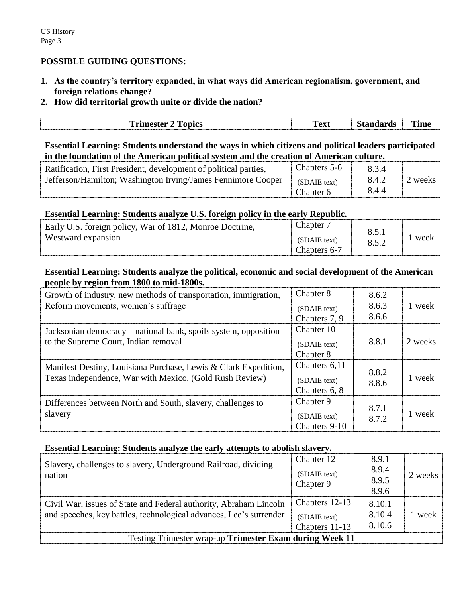## **POSSIBLE GUIDING QUESTIONS:**

**1. As the country's territory expanded, in what ways did American regionalism, government, and foreign relations change?**

## **2. How did territorial growth unite or divide the nation?**

| ------------------<br>------------<br>------<br>m<br>$- - - - - - - -$<br>лпіла<br>ברשו<br>___ | --<br>`ov1<br>1 слі | - -<br>$\mathbf{u}$ | -----<br>-<br><br>------------- |
|------------------------------------------------------------------------------------------------|---------------------|---------------------|---------------------------------|
|                                                                                                |                     |                     |                                 |

**Essential Learning: Students understand the ways in which citizens and political leaders participated in the foundation of the American political system and the creation of American culture.**

| Ratification, First President, development of political parties, | Chapters 5-6 | 834   |         |
|------------------------------------------------------------------|--------------|-------|---------|
| Jefferson/Hamilton; Washington Irving/James Fennimore Cooper     | (SDAIE text) | 8.4.2 | 2 weeks |
|                                                                  | Chapter 6    | 8.4.4 |         |

## **Essential Learning: Students analyze U.S. foreign policy in the early Republic.**

| hapter<br>Early U.S. foreign policy, War of 1812, Monroe Doctrine,<br>Westward expansion<br>(SDAIE text)<br>Chapters 6-7 |
|--------------------------------------------------------------------------------------------------------------------------|
|--------------------------------------------------------------------------------------------------------------------------|

## **Essential Learning: Students analyze the political, economic and social development of the American people by region from 1800 to mid-1800s.**

| Growth of industry, new methods of transportation, immigration,<br>Reform movements, women's suffrage                      | Chapter 8<br>(SDAIE text)<br>Chapters 7, 9     | 8.6.2<br>8.6.3<br>8.6.6 | 1 week  |
|----------------------------------------------------------------------------------------------------------------------------|------------------------------------------------|-------------------------|---------|
| Jacksonian democracy—national bank, spoils system, opposition<br>to the Supreme Court, Indian removal                      | Chapter 10<br>(SDAIE text)<br>Chapter 8        | 8.8.1                   | 2 weeks |
| Manifest Destiny, Louisiana Purchase, Lewis & Clark Expedition,<br>Texas independence, War with Mexico, (Gold Rush Review) | Chapters 6,11<br>(SDAIE text)<br>Chapters 6, 8 | 8.8.2<br>8.8.6          | 1 week  |
| Differences between North and South, slavery, challenges to<br>slavery                                                     | Chapter 9<br>(SDAIE text)<br>Chapters 9-10     | 8.7.1<br>8.7.2          | 1 week  |

## **Essential Learning: Students analyze the early attempts to abolish slavery.**

| Slavery, challenges to slavery, Underground Railroad, dividing<br>nation                                                                | Chapter 12<br>(SDAIE text)<br>Chapter 9          | 8.9.1<br>8.9.4<br>8.9.5<br>8.9.6 | 2 weeks |
|-----------------------------------------------------------------------------------------------------------------------------------------|--------------------------------------------------|----------------------------------|---------|
| Civil War, issues of State and Federal authority, Abraham Lincoln<br>and speeches, key battles, technological advances, Lee's surrender | Chapters 12-13<br>(SDAIE text)<br>Chapters 11-13 | 8.10.1<br>8.10.4<br>8.10.6       | 1 week  |
| Testing Trimester wrap-up Trimester Exam during Week 11                                                                                 |                                                  |                                  |         |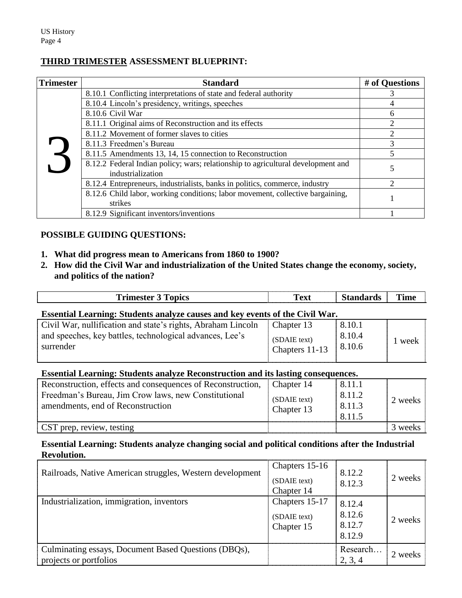## **THIRD TRIMESTER ASSESSMENT BLUEPRINT:**

| <b>Trimester</b> | <b>Standard</b>                                                                                       | # of Questions              |
|------------------|-------------------------------------------------------------------------------------------------------|-----------------------------|
|                  | 8.10.1 Conflicting interpretations of state and federal authority                                     |                             |
|                  | 8.10.4 Lincoln's presidency, writings, speeches                                                       |                             |
|                  | 8.10.6 Civil War                                                                                      | 6                           |
|                  | 8.11.1 Original aims of Reconstruction and its effects                                                | $\mathcal{D}_{\mathcal{L}}$ |
|                  | 8.11.2 Movement of former slaves to cities                                                            | 2                           |
|                  | 8.11.3 Freedmen's Bureau                                                                              | 3                           |
|                  | 8.11.5 Amendments 13, 14, 15 connection to Reconstruction                                             |                             |
|                  | 8.12.2 Federal Indian policy; wars; relationship to agricultural development and<br>industrialization |                             |
|                  | 8.12.4 Entrepreneurs, industrialists, banks in politics, commerce, industry                           | C                           |
|                  | 8.12.6 Child labor, working conditions; labor movement, collective bargaining,<br>strikes             |                             |
|                  | 8.12.9 Significant inventors/inventions                                                               |                             |

# **POSSIBLE GUIDING QUESTIONS:**

- **1. What did progress mean to Americans from 1860 to 1900?**
- **2. How did the Civil War and industrialization of the United States change the economy, society, and politics of the nation?**

| <b>Trimester 3 Topics</b>                                                                                                             | <b>Text</b>                                  | <b>Standards</b>           | <b>Time</b> |
|---------------------------------------------------------------------------------------------------------------------------------------|----------------------------------------------|----------------------------|-------------|
| Essential Learning: Students analyze causes and key events of the Civil War.                                                          |                                              |                            |             |
| Civil War, nullification and state's rights, Abraham Lincoln<br>and speeches, key battles, technological advances, Lee's<br>surrender | Chapter 13<br>(SDAIE text)<br>Chapters 11-13 | 8.10.1<br>8.10.4<br>8.10.6 | l week      |
| <b>Essential Learning: Students analyze Reconstruction and its lasting consequences.</b>                                              |                                              |                            |             |
| Reconstruction, effects and consequences of Reconstruction,                                                                           | Chapter 14                                   | 8.11.1                     |             |
| Freedman's Bureau, Jim Crow laws, new Constitutional                                                                                  | (SDAIE text)                                 | 8.11.2                     | 2 weeks     |
| amendments, end of Reconstruction                                                                                                     | Chapter 13                                   | 8.11.3                     |             |
|                                                                                                                                       |                                              | 8.11.5                     |             |

CST prep, review, testing 3 weeks

#### **Essential Learning: Students analyze changing social and political conditions after the Industrial Revolution.**

| Railroads, Native American struggles, Western development                      | Chapters 15-16<br>(SDAIE text)<br>Chapter 14 | 8.12.2<br>8.12.3                     | 2 weeks |
|--------------------------------------------------------------------------------|----------------------------------------------|--------------------------------------|---------|
| Industrialization, immigration, inventors                                      | Chapters 15-17<br>(SDAIE text)<br>Chapter 15 | 8.12.4<br>8.12.6<br>8.12.7<br>8.12.9 | 2 weeks |
| Culminating essays, Document Based Questions (DBQs),<br>projects or portfolios |                                              | Research<br>2, 3, 4                  | 2 weeks |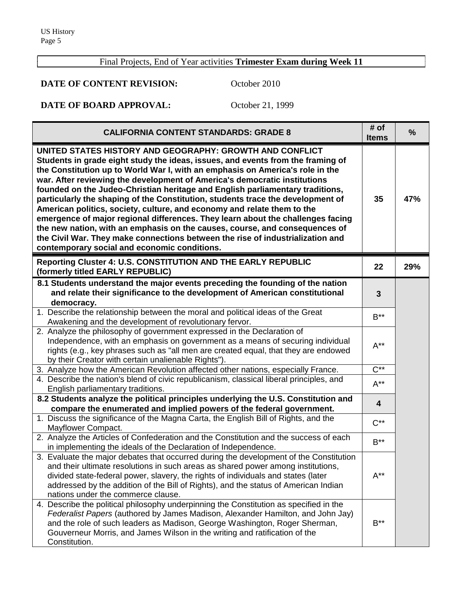Г

# Final Projects, End of Year activities **Trimester Exam during Week 11**

**DATE OF CONTENT REVISION:** October 2010

# **DATE OF BOARD APPROVAL:** October 21, 1999

| <b>CALIFORNIA CONTENT STANDARDS: GRADE 8</b>                                                                                                                                                                                                                                                                                                                                                                                                                                                                                                                                                                                                                                                                                                                                                                                                                 | # of<br><b>Items</b>    | $\frac{9}{6}$ |
|--------------------------------------------------------------------------------------------------------------------------------------------------------------------------------------------------------------------------------------------------------------------------------------------------------------------------------------------------------------------------------------------------------------------------------------------------------------------------------------------------------------------------------------------------------------------------------------------------------------------------------------------------------------------------------------------------------------------------------------------------------------------------------------------------------------------------------------------------------------|-------------------------|---------------|
| UNITED STATES HISTORY AND GEOGRAPHY: GROWTH AND CONFLICT<br>Students in grade eight study the ideas, issues, and events from the framing of<br>the Constitution up to World War I, with an emphasis on America's role in the<br>war. After reviewing the development of America's democratic institutions<br>founded on the Judeo-Christian heritage and English parliamentary traditions,<br>particularly the shaping of the Constitution, students trace the development of<br>American politics, society, culture, and economy and relate them to the<br>emergence of major regional differences. They learn about the challenges facing<br>the new nation, with an emphasis on the causes, course, and consequences of<br>the Civil War. They make connections between the rise of industrialization and<br>contemporary social and economic conditions. | 35                      | 47%           |
| <b>Reporting Cluster 4: U.S. CONSTITUTION AND THE EARLY REPUBLIC</b><br>(formerly titled EARLY REPUBLIC)                                                                                                                                                                                                                                                                                                                                                                                                                                                                                                                                                                                                                                                                                                                                                     | 22                      | 29%           |
| 8.1 Students understand the major events preceding the founding of the nation<br>and relate their significance to the development of American constitutional<br>democracy.                                                                                                                                                                                                                                                                                                                                                                                                                                                                                                                                                                                                                                                                                   | $\mathbf{3}$            |               |
| 1. Describe the relationship between the moral and political ideas of the Great<br>Awakening and the development of revolutionary fervor.                                                                                                                                                                                                                                                                                                                                                                                                                                                                                                                                                                                                                                                                                                                    | $B***$                  |               |
| 2. Analyze the philosophy of government expressed in the Declaration of<br>Independence, with an emphasis on government as a means of securing individual<br>rights (e.g., key phrases such as "all men are created equal, that they are endowed<br>by their Creator with certain unalienable Rights").                                                                                                                                                                                                                                                                                                                                                                                                                                                                                                                                                      | $A^{**}$                |               |
| 3. Analyze how the American Revolution affected other nations, especially France.                                                                                                                                                                                                                                                                                                                                                                                                                                                                                                                                                                                                                                                                                                                                                                            | $\overline{C^{**}}$     |               |
| 4. Describe the nation's blend of civic republicanism, classical liberal principles, and<br>English parliamentary traditions.                                                                                                                                                                                                                                                                                                                                                                                                                                                                                                                                                                                                                                                                                                                                | $A^{**}$                |               |
| 8.2 Students analyze the political principles underlying the U.S. Constitution and<br>compare the enumerated and implied powers of the federal government.                                                                                                                                                                                                                                                                                                                                                                                                                                                                                                                                                                                                                                                                                                   | $\overline{\mathbf{4}}$ |               |
| 1. Discuss the significance of the Magna Carta, the English Bill of Rights, and the<br>Mayflower Compact.                                                                                                                                                                                                                                                                                                                                                                                                                                                                                                                                                                                                                                                                                                                                                    | $C^{**}$                |               |
| 2. Analyze the Articles of Confederation and the Constitution and the success of each<br>in implementing the ideals of the Declaration of Independence.                                                                                                                                                                                                                                                                                                                                                                                                                                                                                                                                                                                                                                                                                                      | $B***$                  |               |
| 3. Evaluate the major debates that occurred during the development of the Constitution<br>and their ultimate resolutions in such areas as shared power among institutions,<br>divided state-federal power, slavery, the rights of individuals and states (later<br>addressed by the addition of the Bill of Rights), and the status of American Indian<br>nations under the commerce clause.                                                                                                                                                                                                                                                                                                                                                                                                                                                                 | $A^{**}$                |               |
| 4. Describe the political philosophy underpinning the Constitution as specified in the<br>Federalist Papers (authored by James Madison, Alexander Hamilton, and John Jay)<br>and the role of such leaders as Madison, George Washington, Roger Sherman,<br>Gouverneur Morris, and James Wilson in the writing and ratification of the<br>Constitution.                                                                                                                                                                                                                                                                                                                                                                                                                                                                                                       | $B^{\ast\ast}$          |               |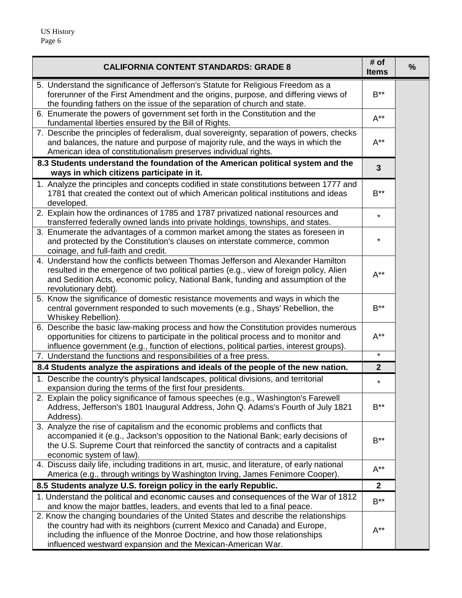| <b>CALIFORNIA CONTENT STANDARDS: GRADE 8</b>                                                                                                                                                                                                                                                                    | # of<br><b>Items</b> | % |
|-----------------------------------------------------------------------------------------------------------------------------------------------------------------------------------------------------------------------------------------------------------------------------------------------------------------|----------------------|---|
| 5. Understand the significance of Jefferson's Statute for Religious Freedom as a<br>forerunner of the First Amendment and the origins, purpose, and differing views of<br>the founding fathers on the issue of the separation of church and state.                                                              | $B^{\ast\ast}$       |   |
| 6. Enumerate the powers of government set forth in the Constitution and the<br>fundamental liberties ensured by the Bill of Rights.                                                                                                                                                                             | $A^{**}$             |   |
| 7. Describe the principles of federalism, dual sovereignty, separation of powers, checks<br>and balances, the nature and purpose of majority rule, and the ways in which the<br>American idea of constitutionalism preserves individual rights.                                                                 | $A^{**}$             |   |
| 8.3 Students understand the foundation of the American political system and the<br>ways in which citizens participate in it.                                                                                                                                                                                    | $\mathbf{3}$         |   |
| 1. Analyze the principles and concepts codified in state constitutions between 1777 and<br>1781 that created the context out of which American political institutions and ideas<br>developed.                                                                                                                   | $B^{\star\star}$     |   |
| 2. Explain how the ordinances of 1785 and 1787 privatized national resources and<br>transferred federally owned lands into private holdings, townships, and states.                                                                                                                                             | $\star$              |   |
| 3. Enumerate the advantages of a common market among the states as foreseen in<br>and protected by the Constitution's clauses on interstate commerce, common<br>coinage, and full-faith and credit.                                                                                                             | *                    |   |
| 4. Understand how the conflicts between Thomas Jefferson and Alexander Hamilton<br>resulted in the emergence of two political parties (e.g., view of foreign policy, Alien<br>and Sedition Acts, economic policy, National Bank, funding and assumption of the<br>revolutionary debt).                          | $A^{**}$             |   |
| 5. Know the significance of domestic resistance movements and ways in which the<br>central government responded to such movements (e.g., Shays' Rebellion, the<br>Whiskey Rebellion).                                                                                                                           | $B^{\ast\ast}$       |   |
| 6. Describe the basic law-making process and how the Constitution provides numerous<br>opportunities for citizens to participate in the political process and to monitor and<br>influence government (e.g., function of elections, political parties, interest groups).                                         | $A^{**}$             |   |
| 7. Understand the functions and responsibilities of a free press.                                                                                                                                                                                                                                               | $\star$              |   |
| 8.4 Students analyze the aspirations and ideals of the people of the new nation.                                                                                                                                                                                                                                | $\mathbf{2}$         |   |
| 1. Describe the country's physical landscapes, political divisions, and territorial<br>expansion during the terms of the first four presidents.                                                                                                                                                                 | $\star$              |   |
| 2. Explain the policy significance of famous speeches (e.g., Washington's Farewell<br>Address, Jefferson's 1801 Inaugural Address, John Q. Adams's Fourth of July 1821<br>Address).                                                                                                                             | $B^{\ast\ast}$       |   |
| 3. Analyze the rise of capitalism and the economic problems and conflicts that<br>accompanied it (e.g., Jackson's opposition to the National Bank; early decisions of<br>the U.S. Supreme Court that reinforced the sanctity of contracts and a capitalist<br>economic system of law).                          | $B^{\ast\ast}$       |   |
| 4. Discuss daily life, including traditions in art, music, and literature, of early national<br>America (e.g., through writings by Washington Irving, James Fenimore Cooper).                                                                                                                                   | $A^{**}$             |   |
| 8.5 Students analyze U.S. foreign policy in the early Republic.                                                                                                                                                                                                                                                 | $\mathbf{2}$         |   |
| 1. Understand the political and economic causes and consequences of the War of 1812<br>and know the major battles, leaders, and events that led to a final peace.                                                                                                                                               | $B***$               |   |
| 2. Know the changing boundaries of the United States and describe the relationships<br>the country had with its neighbors (current Mexico and Canada) and Europe,<br>including the influence of the Monroe Doctrine, and how those relationships<br>influenced westward expansion and the Mexican-American War. | $A^{**}$             |   |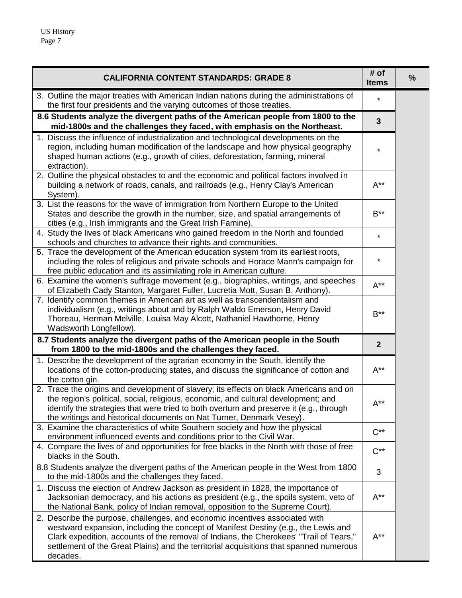| <b>CALIFORNIA CONTENT STANDARDS: GRADE 8</b>                                                                                                                                                                                                                                                                                                                       |                           | % |
|--------------------------------------------------------------------------------------------------------------------------------------------------------------------------------------------------------------------------------------------------------------------------------------------------------------------------------------------------------------------|---------------------------|---|
| 3. Outline the major treaties with American Indian nations during the administrations of<br>the first four presidents and the varying outcomes of those treaties.                                                                                                                                                                                                  | $\star$                   |   |
| 8.6 Students analyze the divergent paths of the American people from 1800 to the<br>mid-1800s and the challenges they faced, with emphasis on the Northeast.                                                                                                                                                                                                       | $\overline{\mathbf{3}}$   |   |
| 1. Discuss the influence of industrialization and technological developments on the<br>region, including human modification of the landscape and how physical geography<br>shaped human actions (e.g., growth of cities, deforestation, farming, mineral<br>extraction).                                                                                           | $\star$                   |   |
| 2. Outline the physical obstacles to and the economic and political factors involved in<br>building a network of roads, canals, and railroads (e.g., Henry Clay's American<br>System).                                                                                                                                                                             | $A^{**}$                  |   |
| 3. List the reasons for the wave of immigration from Northern Europe to the United<br>States and describe the growth in the number, size, and spatial arrangements of<br>cities (e.g., Irish immigrants and the Great Irish Famine).                                                                                                                               | $B^{\star\star}$          |   |
| 4. Study the lives of black Americans who gained freedom in the North and founded<br>schools and churches to advance their rights and communities.                                                                                                                                                                                                                 | $\star$                   |   |
| 5. Trace the development of the American education system from its earliest roots,<br>including the roles of religious and private schools and Horace Mann's campaign for<br>free public education and its assimilating role in American culture.                                                                                                                  | *                         |   |
| 6. Examine the women's suffrage movement (e.g., biographies, writings, and speeches<br>of Elizabeth Cady Stanton, Margaret Fuller, Lucretia Mott, Susan B. Anthony).                                                                                                                                                                                               | $A^{**}$                  |   |
| 7. Identify common themes in American art as well as transcendentalism and<br>individualism (e.g., writings about and by Ralph Waldo Emerson, Henry David<br>Thoreau, Herman Melville, Louisa May Alcott, Nathaniel Hawthorne, Henry<br>Wadsworth Longfellow).                                                                                                     | $B^{\star\star}$          |   |
| 8.7 Students analyze the divergent paths of the American people in the South<br>from 1800 to the mid-1800s and the challenges they faced.                                                                                                                                                                                                                          | $\overline{2}$            |   |
| 1. Describe the development of the agrarian economy in the South, identify the<br>locations of the cotton-producing states, and discuss the significance of cotton and<br>the cotton gin.                                                                                                                                                                          | $A^{**}$                  |   |
| 2. Trace the origins and development of slavery; its effects on black Americans and on<br>the region's political, social, religious, economic, and cultural development; and<br>identify the strategies that were tried to both overturn and preserve it (e.g., through<br>the writings and historical documents on Nat Turner, Denmark Vesey).                    | $\mathsf{A}^{\star\star}$ |   |
| 3. Examine the characteristics of white Southern society and how the physical<br>environment influenced events and conditions prior to the Civil War.                                                                                                                                                                                                              | $C^{**}$                  |   |
| 4. Compare the lives of and opportunities for free blacks in the North with those of free<br>blacks in the South.                                                                                                                                                                                                                                                  | $C^{**}$                  |   |
| 8.8 Students analyze the divergent paths of the American people in the West from 1800<br>to the mid-1800s and the challenges they faced.                                                                                                                                                                                                                           | 3                         |   |
| 1. Discuss the election of Andrew Jackson as president in 1828, the importance of<br>Jacksonian democracy, and his actions as president (e.g., the spoils system, veto of<br>the National Bank, policy of Indian removal, opposition to the Supreme Court).                                                                                                        | $A^{**}$                  |   |
| 2. Describe the purpose, challenges, and economic incentives associated with<br>westward expansion, including the concept of Manifest Destiny (e.g., the Lewis and<br>Clark expedition, accounts of the removal of Indians, the Cherokees' "Trail of Tears,"<br>settlement of the Great Plains) and the territorial acquisitions that spanned numerous<br>decades. | $A^{**}$                  |   |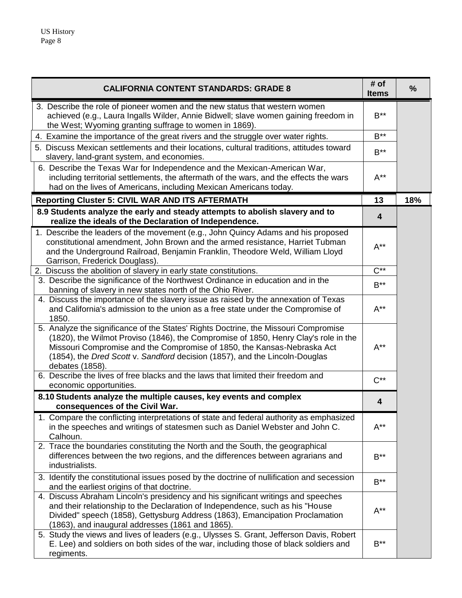| <b>CALIFORNIA CONTENT STANDARDS: GRADE 8</b>                                                                                                                                                                                                                                                                                                            | # of<br><b>Items</b>    | $\frac{9}{6}$ |
|---------------------------------------------------------------------------------------------------------------------------------------------------------------------------------------------------------------------------------------------------------------------------------------------------------------------------------------------------------|-------------------------|---------------|
| 3. Describe the role of pioneer women and the new status that western women<br>achieved (e.g., Laura Ingalls Wilder, Annie Bidwell; slave women gaining freedom in<br>the West; Wyoming granting suffrage to women in 1869).                                                                                                                            | $B^{\ast\ast}$          |               |
| 4. Examine the importance of the great rivers and the struggle over water rights.                                                                                                                                                                                                                                                                       | $B***$                  |               |
| 5. Discuss Mexican settlements and their locations, cultural traditions, attitudes toward<br>slavery, land-grant system, and economies.                                                                                                                                                                                                                 | $B***$                  |               |
| 6. Describe the Texas War for Independence and the Mexican-American War,<br>including territorial settlements, the aftermath of the wars, and the effects the wars<br>had on the lives of Americans, including Mexican Americans today.                                                                                                                 | $A^{**}$                |               |
| <b>Reporting Cluster 5: CIVIL WAR AND ITS AFTERMATH</b>                                                                                                                                                                                                                                                                                                 | 13                      | 18%           |
| 8.9 Students analyze the early and steady attempts to abolish slavery and to<br>realize the ideals of the Declaration of Independence.                                                                                                                                                                                                                  | $\overline{\mathbf{4}}$ |               |
| 1. Describe the leaders of the movement (e.g., John Quincy Adams and his proposed<br>constitutional amendment, John Brown and the armed resistance, Harriet Tubman<br>and the Underground Railroad, Benjamin Franklin, Theodore Weld, William Lloyd<br>Garrison, Frederick Douglass).                                                                   | $A^{**}$                |               |
| 2. Discuss the abolition of slavery in early state constitutions.                                                                                                                                                                                                                                                                                       | $\overline{C^{**}}$     |               |
| 3. Describe the significance of the Northwest Ordinance in education and in the<br>banning of slavery in new states north of the Ohio River.                                                                                                                                                                                                            | $B^{\ast\ast}$          |               |
| 4. Discuss the importance of the slavery issue as raised by the annexation of Texas<br>and California's admission to the union as a free state under the Compromise of<br>1850.                                                                                                                                                                         | $A^{**}$                |               |
| 5. Analyze the significance of the States' Rights Doctrine, the Missouri Compromise<br>(1820), the Wilmot Proviso (1846), the Compromise of 1850, Henry Clay's role in the<br>Missouri Compromise and the Compromise of 1850, the Kansas-Nebraska Act<br>(1854), the Dred Scott v. Sandford decision (1857), and the Lincoln-Douglas<br>debates (1858). | $A^{**}$                |               |
| 6. Describe the lives of free blacks and the laws that limited their freedom and<br>economic opportunities.                                                                                                                                                                                                                                             | $C^{**}$                |               |
| 8.10 Students analyze the multiple causes, key events and complex                                                                                                                                                                                                                                                                                       | 4                       |               |
| consequences of the Civil War.<br>1. Compare the conflicting interpretations of state and federal authority as emphasized                                                                                                                                                                                                                               |                         |               |
| in the speeches and writings of statesmen such as Daniel Webster and John C.<br>Calhoun.                                                                                                                                                                                                                                                                | $A^{**}$                |               |
| 2. Trace the boundaries constituting the North and the South, the geographical<br>differences between the two regions, and the differences between agrarians and<br>industrialists.                                                                                                                                                                     | $B^{\star\star}$        |               |
| 3. Identify the constitutional issues posed by the doctrine of nullification and secession<br>and the earliest origins of that doctrine.                                                                                                                                                                                                                | $B^{\star\star}$        |               |
| 4. Discuss Abraham Lincoln's presidency and his significant writings and speeches<br>and their relationship to the Declaration of Independence, such as his "House<br>Divided" speech (1858), Gettysburg Address (1863), Emancipation Proclamation<br>(1863), and inaugural addresses (1861 and 1865).                                                  | $A^{**}$                |               |
| 5. Study the views and lives of leaders (e.g., Ulysses S. Grant, Jefferson Davis, Robert<br>E. Lee) and soldiers on both sides of the war, including those of black soldiers and<br>regiments.                                                                                                                                                          | $B^{\star\star}$        |               |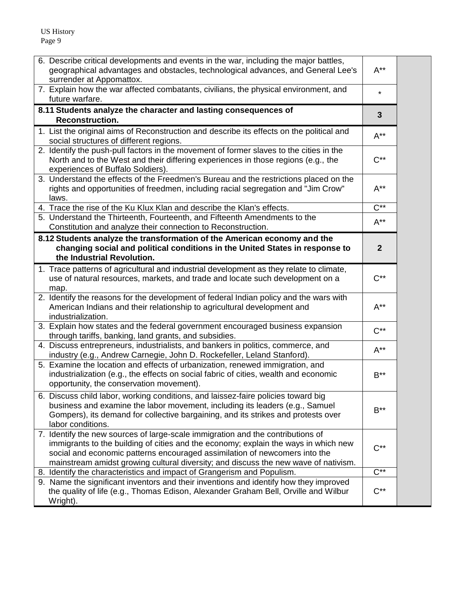US History Page 9

| 6. Describe critical developments and events in the war, including the major battles,<br>geographical advantages and obstacles, technological advances, and General Lee's<br>surrender at Appomattox.                                                                                                                                       | $A^{**}$            |  |
|---------------------------------------------------------------------------------------------------------------------------------------------------------------------------------------------------------------------------------------------------------------------------------------------------------------------------------------------|---------------------|--|
| 7. Explain how the war affected combatants, civilians, the physical environment, and<br>future warfare.                                                                                                                                                                                                                                     | $\star$             |  |
| 8.11 Students analyze the character and lasting consequences of                                                                                                                                                                                                                                                                             | 3                   |  |
| <b>Reconstruction.</b>                                                                                                                                                                                                                                                                                                                      |                     |  |
| 1. List the original aims of Reconstruction and describe its effects on the political and<br>social structures of different regions.                                                                                                                                                                                                        | $A^{**}$            |  |
| 2. Identify the push-pull factors in the movement of former slaves to the cities in the<br>North and to the West and their differing experiences in those regions (e.g., the<br>experiences of Buffalo Soldiers).                                                                                                                           | $C^{**}$            |  |
| 3. Understand the effects of the Freedmen's Bureau and the restrictions placed on the<br>rights and opportunities of freedmen, including racial segregation and "Jim Crow"<br>laws.                                                                                                                                                         | $A^{**}$            |  |
| 4. Trace the rise of the Ku Klux Klan and describe the Klan's effects.                                                                                                                                                                                                                                                                      | $\overline{C^{**}}$ |  |
| 5. Understand the Thirteenth, Fourteenth, and Fifteenth Amendments to the<br>Constitution and analyze their connection to Reconstruction.                                                                                                                                                                                                   | $A^{**}$            |  |
| 8.12 Students analyze the transformation of the American economy and the                                                                                                                                                                                                                                                                    |                     |  |
| changing social and political conditions in the United States in response to<br>the Industrial Revolution.                                                                                                                                                                                                                                  | $\mathbf{2}$        |  |
| 1. Trace patterns of agricultural and industrial development as they relate to climate,<br>use of natural resources, markets, and trade and locate such development on a<br>map.                                                                                                                                                            | $C^{**}$            |  |
| 2. Identify the reasons for the development of federal Indian policy and the wars with<br>American Indians and their relationship to agricultural development and<br>industrialization.                                                                                                                                                     | $A^{**}$            |  |
| 3. Explain how states and the federal government encouraged business expansion<br>through tariffs, banking, land grants, and subsidies.                                                                                                                                                                                                     | $C^{**}$            |  |
| 4. Discuss entrepreneurs, industrialists, and bankers in politics, commerce, and<br>industry (e.g., Andrew Carnegie, John D. Rockefeller, Leland Stanford).                                                                                                                                                                                 | $A^{**}$            |  |
| 5. Examine the location and effects of urbanization, renewed immigration, and<br>industrialization (e.g., the effects on social fabric of cities, wealth and economic<br>opportunity, the conservation movement).                                                                                                                           | $B^{\ast\ast}$      |  |
| 6. Discuss child labor, working conditions, and laissez-faire policies toward big<br>business and examine the labor movement, including its leaders (e.g., Samuel<br>Gompers), its demand for collective bargaining, and its strikes and protests over<br>labor conditions.                                                                 | $B^{\ast\ast}$      |  |
| 7. Identify the new sources of large-scale immigration and the contributions of<br>immigrants to the building of cities and the economy; explain the ways in which new<br>social and economic patterns encouraged assimilation of newcomers into the<br>mainstream amidst growing cultural diversity; and discuss the new wave of nativism. | $C^{**}$            |  |
| 8. Identify the characteristics and impact of Grangerism and Populism.                                                                                                                                                                                                                                                                      | $C^{**}$            |  |
| 9. Name the significant inventors and their inventions and identify how they improved<br>the quality of life (e.g., Thomas Edison, Alexander Graham Bell, Orville and Wilbur<br>Wright).                                                                                                                                                    | $C^{**}$            |  |